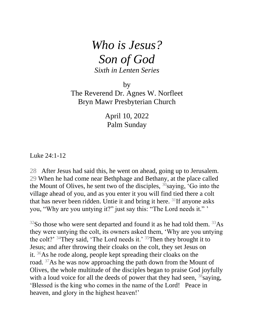## *Who is Jesus? Son of God Sixth in Lenten Series*

by

The Reverend Dr. Agnes W. Norfleet Bryn Mawr Presbyterian Church

> April 10, 2022 Palm Sunday

Luke 24:1-12

28 After Jesus had said this, he went on ahead, going up to Jerusalem. 29 When he had come near Bethphage and Bethany, at the place called the Mount of Olives, he sent two of the disciples,  $30$  saying, 'Go into the village ahead of you, and as you enter it you will find tied there a colt that has never been ridden. Untie it and bring it here.  $31$ If anyone asks you, "Why are you untying it?" just say this: "The Lord needs it." '

 $32$ So those who were sent departed and found it as he had told them.  $33$ As they were untying the colt, its owners asked them, 'Why are you untying the colt?'  $34$ They said, 'The Lord needs it.'  $35$ Then they brought it to Jesus; and after throwing their cloaks on the colt, they set Jesus on it. <sup>36</sup>As he rode along, people kept spreading their cloaks on the road. <sup>37</sup>As he was now approaching the path down from the Mount of Olives, the whole multitude of the disciples began to praise God joyfully with a loud voice for all the deeds of power that they had seen,  $38$ saying, 'Blessed is the king who comes in the name of the Lord! Peace in heaven, and glory in the highest heaven!'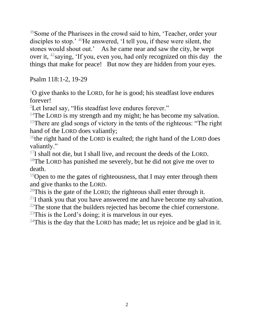<sup>39</sup>Some of the Pharisees in the crowd said to him, 'Teacher, order your disciples to stop.' <sup>40</sup>He answered, 'I tell you, if these were silent, the stones would shout out.' As he came near and saw the city, he wept over it, <sup>42</sup>saying, 'If you, even you, had only recognized on this day the things that make for peace! But now they are hidden from your eyes.

Psalm 118:1-2, 19-29

 $1<sup>1</sup>O$  give thanks to the LORD, for he is good; his steadfast love endures forever!

<sup>2</sup>Let Israel say, "His steadfast love endures forever."

<sup>14</sup>The LORD is my strength and my might; he has become my salvation.

<sup>15</sup>There are glad songs of victory in the tents of the righteous: "The right hand of the LORD does valiantly;

<sup>16</sup>the right hand of the LORD is exalted; the right hand of the LORD does valiantly."

 $17$ I shall not die, but I shall live, and recount the deeds of the LORD.

<sup>18</sup>The LORD has punished me severely, but he did not give me over to death.

<sup>19</sup>Open to me the gates of righteousness, that I may enter through them and give thanks to the LORD.

 $20$ This is the gate of the LORD; the righteous shall enter through it.

 $21$ I thank you that you have answered me and have become my salvation.

 $22$ The stone that the builders rejected has become the chief cornerstone.

 $^{23}$ This is the Lord's doing; it is marvelous in our eyes.

 $24$ This is the day that the LORD has made; let us rejoice and be glad in it.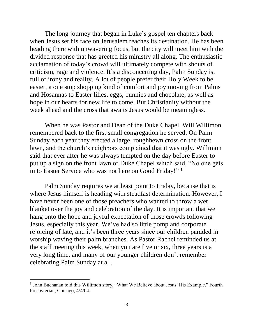The long journey that began in Luke's gospel ten chapters back when Jesus set his face on Jerusalem reaches its destination. He has been heading there with unwavering focus, but the city will meet him with the divided response that has greeted his ministry all along. The enthusiastic acclamation of today's crowd will ultimately compete with shouts of criticism, rage and violence. It's a disconcerting day, Palm Sunday is, full of irony and reality. A lot of people prefer their Holy Week to be easier, a one stop shopping kind of comfort and joy moving from Palms and Hosannas to Easter lilies, eggs, bunnies and chocolate, as well as hope in our hearts for new life to come. But Christianity without the week ahead and the cross that awaits Jesus would be meaningless.

When he was Pastor and Dean of the Duke Chapel, Will Willimon remembered back to the first small congregation he served. On Palm Sunday each year they erected a large, roughhewn cross on the front lawn, and the church's neighbors complained that it was ugly. Willimon said that ever after he was always tempted on the day before Easter to put up a sign on the front lawn of Duke Chapel which said, "No one gets in to Easter Service who was not here on Good Friday!" <sup>1</sup>

Palm Sunday requires we at least point to Friday, because that is where Jesus himself is heading with steadfast determination. However, I have never been one of those preachers who wanted to throw a wet blanket over the joy and celebration of the day. It is important that we hang onto the hope and joyful expectation of those crowds following Jesus, especially this year. We've had so little pomp and corporate rejoicing of late, and it's been three years since our children paraded in worship waving their palm branches. As Pastor Rachel reminded us at the staff meeting this week, when you are five or six, three years is a very long time, and many of our younger children don't remember celebrating Palm Sunday at all.

<sup>&</sup>lt;sup>1</sup> John Buchanan told this Willimon story, "What We Believe about Jesus: His Example," Fourth Presbyterian, Chicago, 4/4/04.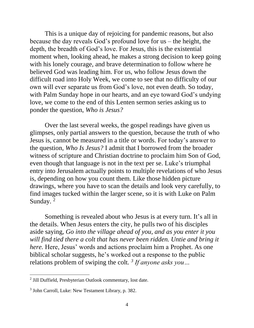This is a unique day of rejoicing for pandemic reasons, but also because the day reveals God's profound love for us – the height, the depth, the breadth of God's love. For Jesus, this is the existential moment when, looking ahead, he makes a strong decision to keep going with his lonely courage, and brave determination to follow where he believed God was leading him. For us, who follow Jesus down the difficult road into Holy Week, we come to see that no difficulty of our own will ever separate us from God's love, not even death. So today, with Palm Sunday hope in our hearts, and an eye toward God's undying love, we come to the end of this Lenten sermon series asking us to ponder the question, *Who is Jesus?*

 Over the last several weeks, the gospel readings have given us glimpses, only partial answers to the question, because the truth of who Jesus is, cannot be measured in a title or words. For today's answer to the question, *Who Is Jesus?* I admit that I borrowed from the broader witness of scripture and Christian doctrine to proclaim him Son of God, even though that language is not in the text per se. Luke's triumphal entry into Jerusalem actually points to multiple revelations of who Jesus is, depending on how you count them. Like those hidden picture drawings, where you have to scan the details and look very carefully, to find images tucked within the larger scene, so it is with Luke on Palm Sunday.<sup>2</sup>

Something is revealed about who Jesus is at every turn. It's all in the details. When Jesus enters the city, he pulls two of his disciples aside saying, *Go into the village ahead of you, and as you enter it you will find tied there a colt that has never been ridden. Untie and bring it here.* Here, Jesus' words and actions proclaim him a Prophet. As one biblical scholar suggests, he's worked out a response to the public relations problem of swiping the colt*. 3 If anyone asks you…* 

<sup>&</sup>lt;sup>2</sup> Jill Duffield, Presbyterian Outlook commentary, lost date.

<sup>&</sup>lt;sup>3</sup> John Carroll, Luke: New Testament Library, p. 382.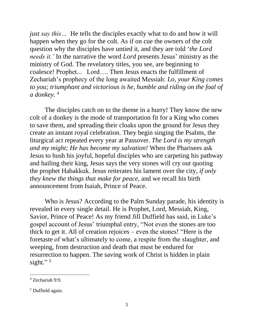*just say this* ... He tells the disciples exactly what to do and how it will happen when they go for the colt. As if on cue the owners of the colt question why the disciples have untied it, and they are told '*the Lord needs it.'* In the narrative the word *Lord* presents Jesus' ministry as the ministry of God. The revelatory titles, you see, are beginning to coalesce! Prophet... Lord…. Then Jesus enacts the fulfillment of Zechariah's prophecy of the long awaited Messiah: *Lo, your King comes to you; triumphant and victorious is he, humble and riding on the foal of a donkey. <sup>4</sup>*

 The disciples catch on to the theme in a hurry! They know the new colt of a donkey is the mode of transportation fit for a King who comes to save them, and spreading their cloaks upon the ground for Jesus they create an instant royal celebration. They begin singing the Psalms, the liturgical act repeated every year at Passover. *The Lord is my strength and my might; He has become my salvation!* When the Pharisees ask Jesus to hush his joyful, hopeful disciples who are carpeting his pathway and hailing their king, Jesus says the very stones will cry out quoting the prophet Habakkuk. Jesus reiterates his lament over the city, *if only they knew the things that make for peace*, and we recall his birth announcement from Isaiah, Prince of Peace.

 Who is Jesus? According to the Palm Sunday parade, his identity is revealed in every single detail. He is Prophet, Lord, Messiah, King, Savior, Prince of Peace! As my friend Jill Duffield has said, in Luke's gospel account of Jesus' triumphal entry, "Not even the stones are too thick to get it. All of creation rejoices – even the stones! "Here is the foretaste of what's ultimately to come, a respite from the slaughter, and weeping, from destruction and death that must be endured for resurrection to happen. The saving work of Christ is hidden in plain sight."<sup>5</sup>

<sup>4</sup> Zechariah 9:9.

 $<sup>5</sup>$  Duffield again.</sup>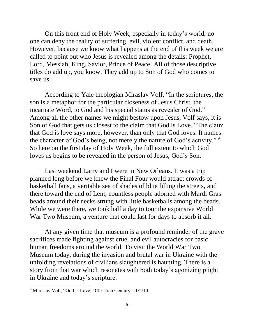On this front end of Holy Week, especially in today's world, no one can deny the reality of suffering, evil, violent conflict, and death. However, because we know what happens at the end of this week we are called to point out who Jesus is revealed among the details: Prophet, Lord, Messiah, King, Savior, Prince of Peace! All of those descriptive titles do add up, you know. They add up to Son of God who comes to save us.

 According to Yale theologian Miraslav Volf, "In the scriptures, the son is a metaphor for the particular closeness of Jesus Christ, the incarnate Word, to God and his special status as revealer of God." Among all the other names we might bestow upon Jesus, Volf says, it is Son of God that gets us closest to the claim that God is Love. "The claim that God is love says more, however, than only that God loves. It names the character of God's being, not merely the nature of God's activity." <sup>6</sup> So here on the first day of Holy Week, the full extent to which God loves us begins to be revealed in the person of Jesus, God's Son.

 Last weekend Larry and I were in New Orleans. It was a trip planned long before we knew the Final Four would attract crowds of basketball fans, a veritable sea of shades of blue filling the streets, and there toward the end of Lent, countless people adorned with Mardi Gras beads around their necks strung with little basketballs among the beads. While we were there, we took half a day to tour the expansive World War Two Museum, a venture that could last for days to absorb it all.

At any given time that museum is a profound reminder of the grave sacrifices made fighting against cruel and evil autocracies for basic human freedoms around the world. To visit the World War Two Museum today, during the invasion and brutal war in Ukraine with the unfolding revelations of civilians slaughtered is haunting. There is a story from that war which resonates with both today's agonizing plight in Ukraine and today's scripture.

<sup>&</sup>lt;sup>6</sup> Miraslav Volf, "God is Love," Christian Century, 11/2/10.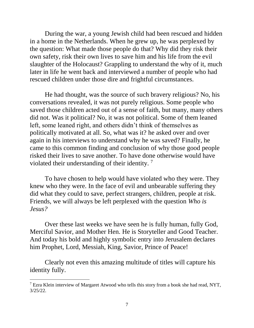During the war, a young Jewish child had been rescued and hidden in a home in the Netherlands. When he grew up, he was perplexed by the question: What made those people do that? Why did they risk their own safety, risk their own lives to save him and his life from the evil slaughter of the Holocaust? Grappling to understand the why of it, much later in life he went back and interviewed a number of people who had rescued children under those dire and frightful circumstances.

 He had thought, was the source of such bravery religious? No, his conversations revealed, it was not purely religious. Some people who saved those children acted out of a sense of faith, but many, many others did not. Was it political? No, it was not political. Some of them leaned left, some leaned right, and others didn't think of themselves as politically motivated at all. So, what was it? he asked over and over again in his interviews to understand why he was saved? Finally, he came to this common finding and conclusion of why those good people risked their lives to save another. To have done otherwise would have violated their understanding of their identity.<sup>7</sup>

 To have chosen to help would have violated who they were. They knew who they were. In the face of evil and unbearable suffering they did what they could to save, perfect strangers, children, people at risk. Friends, we will always be left perplexed with the question *Who is Jesus?*

 Over these last weeks we have seen he is fully human, fully God, Merciful Savior, and Mother Hen. He is Storyteller and Good Teacher. And today his bold and highly symbolic entry into Jerusalem declares him Prophet, Lord, Messiah, King, Savior, Prince of Peace!

 Clearly not even this amazing multitude of titles will capture his identity fully.

 $<sup>7</sup>$  Ezra Klein interview of Margaret Atwood who tells this story from a book she had read, NYT,</sup> 3/25/22.